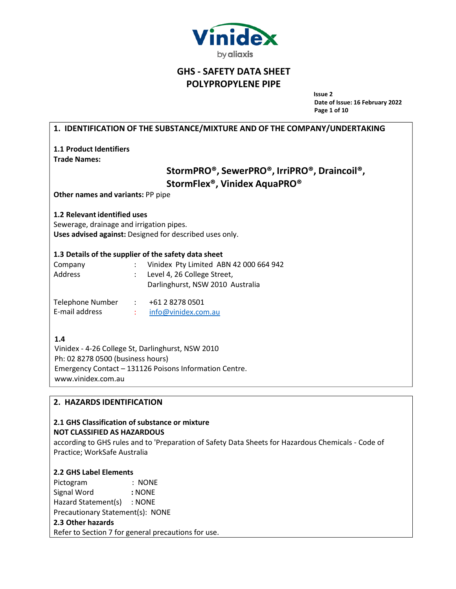

**Issue 2 Date of Issue: 16 February 2022 Page 1 of 10**

# **1. IDENTIFICATION OF THE SUBSTANCE/MIXTURE AND OF THE COMPANY/UNDERTAKING**

**1.1 Product Identifiers Trade Names:**

# **StormPRO®, SewerPRO®, IrriPRO®, Draincoil®, StormFlex®, Vinidex AquaPRO®**

**Other names and variants:** PP pipe

#### **1.2 Relevant identified uses**

Sewerage, drainage and irrigation pipes. **Uses advised against:** Designed for described uses only.

#### **1.3 Details of the supplier of the safety data sheet**

| Company                              | Vinidex Pty Limited ABN 42 000 664 942 |
|--------------------------------------|----------------------------------------|
| Address                              | Level 4, 26 College Street,            |
|                                      | Darlinghurst, NSW 2010 Australia       |
| The basic later at All and later and | . $\sim$ 4. 3. 0.3.30. 0.5.0.4 $\sim$  |

| <b>Telephone Number</b> | +61 2 8278 0501     |
|-------------------------|---------------------|
| E-mail address          | info@vinidex.com.au |

# **1.4**

Vinidex - 4-26 College St, Darlinghurst, NSW 2010 Ph: 02 8278 0500 (business hours) Emergency Contact – 131126 Poisons Information Centre. [www.vinidex.com.au](http://www.vinidex.com.au/)

# **2. HAZARDS IDENTIFICATION**

# **2.1 GHS Classification of substance or mixture NOT CLASSIFIED AS HAZARDOUS**

according to GHS rules and to 'Preparation of Safety Data Sheets for Hazardous Chemicals - Code of Practice; WorkSafe Australia

# **2.2 GHS Label Elements**

Pictogram : NONE Signal Word **:** NONE Hazard Statement(s) : NONE Precautionary Statement(s): NONE

#### **2.3 Other hazards**

Refer to Section 7 for general precautions for use.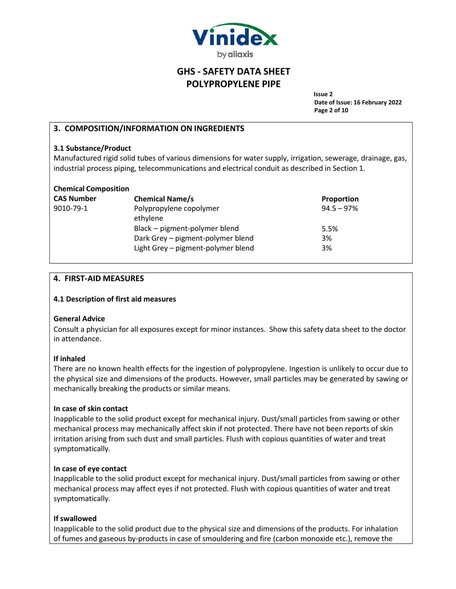

**Issue 2 Date of Issue: 16 February 2022 Page 2 of 10**

# **3. COMPOSITION/INFORMATION ON INGREDIENTS**

# **3.1 Substance/Product**

Manufactured rigid solid tubes of various dimensions for water supply, irrigation, sewerage, drainage, gas, industrial process piping, telecommunications and electrical conduit as described in Section 1.

# **Chemical Composition**

| <b>CAS Number</b> | <b>Chemical Name/s</b>             | <b>Proportion</b> |
|-------------------|------------------------------------|-------------------|
| 9010-79-1         | Polypropylene copolymer            | $94.5 - 97%$      |
|                   | ethylene                           |                   |
|                   | Black - pigment-polymer blend      | 5.5%              |
|                   | Dark Grey - pigment-polymer blend  | 3%                |
|                   | Light Grey - pigment-polymer blend | 3%                |

# **4. FIRST-AID MEASURES**

# **4.1 Description of first aid measures**

# **General Advice**

Consult a physician for all exposures except for minor instances. Show this safety data sheet to the doctor in attendance.

# **If inhaled**

There are no known health effects for the ingestion of polypropylene. Ingestion is unlikely to occur due to the physical size and dimensions of the products. However, small particles may be generated by sawing or mechanically breaking the products or similar means.

# **In case of skin contact**

Inapplicable to the solid product except for mechanical injury. Dust/small particles from sawing or other mechanical process may mechanically affect skin if not protected. There have not been reports of skin irritation arising from such dust and small particles. Flush with copious quantities of water and treat symptomatically.

# **In case of eye contact**

Inapplicable to the solid product except for mechanical injury. Dust/small particles from sawing or other mechanical process may affect eyes if not protected. Flush with copious quantities of water and treat symptomatically.

# **If swallowed**

Inapplicable to the solid product due to the physical size and dimensions of the products. For inhalation of fumes and gaseous by-products in case of smouldering and fire (carbon monoxide etc.), remove the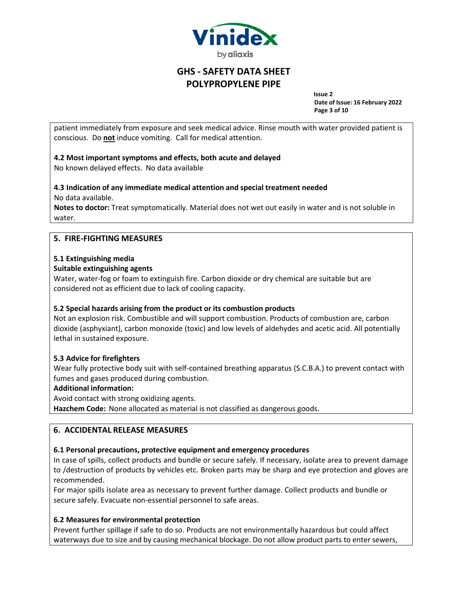

**Issue 2 Date of Issue: 16 February 2022 Page 3 of 10**

patient immediately from exposure and seek medical advice. Rinse mouth with water provided patient is conscious. Do **not** induce vomiting. Call for medical attention.

# **4.2 Most important symptoms and effects, both acute and delayed**

No known delayed effects. No data available

# **4.3 Indication of any immediate medical attention and special treatment needed**

No data available.

**Notes to doctor:** Treat symptomatically. Material does not wet out easily in water and is not soluble in water.

# **5. FIRE-FIGHTING MEASURES**

# **5.1 Extinguishing media**

# **Suitable extinguishing agents**

Water, water-fog or foam to extinguish fire. Carbon dioxide or dry chemical are suitable but are considered not as efficient due to lack of cooling capacity.

# **5.2 Special hazards arising from the product or its combustion products**

Not an explosion risk. Combustible and will support combustion. Products of combustion are, carbon dioxide (asphyxiant), carbon monoxide (toxic) and low levels of aldehydes and acetic acid. All potentially lethal in sustained exposure.

# **5.3 Advice for firefighters**

Wear fully protective body suit with self-contained breathing apparatus (S.C.B.A.) to prevent contact with fumes and gases produced during combustion.

# **Additional information:**

Avoid contact with strong oxidizing agents.

**Hazchem Code:** None allocated as material is not classified as dangerous goods.

# **6. ACCIDENTAL RELEASE MEASURES**

# **6.1 Personal precautions, protective equipment and emergency procedures**

In case of spills, collect products and bundle or secure safely. If necessary, isolate area to prevent damage to /destruction of products by vehicles etc. Broken parts may be sharp and eye protection and gloves are recommended.

For major spills isolate area as necessary to prevent further damage. Collect products and bundle or secure safely. Evacuate non-essential personnel to safe areas.

# **6.2 Measures for environmental protection**

Prevent further spillage if safe to do so. Products are not environmentally hazardous but could affect waterways due to size and by causing mechanical blockage. Do not allow product parts to enter sewers,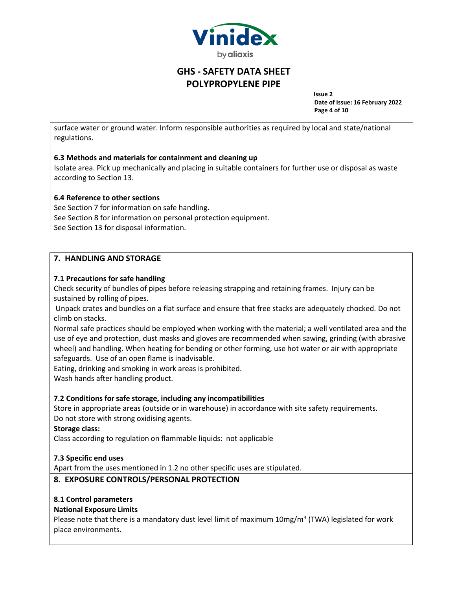

**Issue 2 Date of Issue: 16 February 2022 Page 4 of 10**

surface water or ground water. Inform responsible authorities as required by local and state/national regulations.

# **6.3 Methods and materials for containment and cleaning up**

Isolate area. Pick up mechanically and placing in suitable containers for further use or disposal as waste according to Section 13.

# **6.4 Reference to other sections**

See Section 7 for information on safe handling. See Section 8 for information on personal protection equipment. See Section 13 for disposal information.

# **7. HANDLING AND STORAGE**

# **7.1 Precautions for safe handling**

Check security of bundles of pipes before releasing strapping and retaining frames. Injury can be sustained by rolling of pipes.

Unpack crates and bundles on a flat surface and ensure that free stacks are adequately chocked. Do not climb on stacks.

Normal safe practices should be employed when working with the material; a well ventilated area and the use of eye and protection, dust masks and gloves are recommended when sawing, grinding (with abrasive wheel) and handling. When heating for bending or other forming, use hot water or air with appropriate safeguards. Use of an open flame is inadvisable.

Eating, drinking and smoking in work areas is prohibited.

Wash hands after handling product.

# **7.2 Conditions forsafe storage, including any incompatibilities**

Store in appropriate areas (outside or in warehouse) in accordance with site safety requirements. Do not store with strong oxidising agents.

**Storage class:**

Class according to regulation on flammable liquids: not applicable

# **7.3 Specific end uses**

Apart from the uses mentioned in 1.2 no other specific uses are stipulated.

# **8. EXPOSURE CONTROLS/PERSONAL PROTECTION**

# **8.1 Control parameters**

# **National Exposure Limits**

Please note that there is a mandatory dust level limit of maximum 10mg/m<sup>3</sup> (TWA) legislated for work place environments.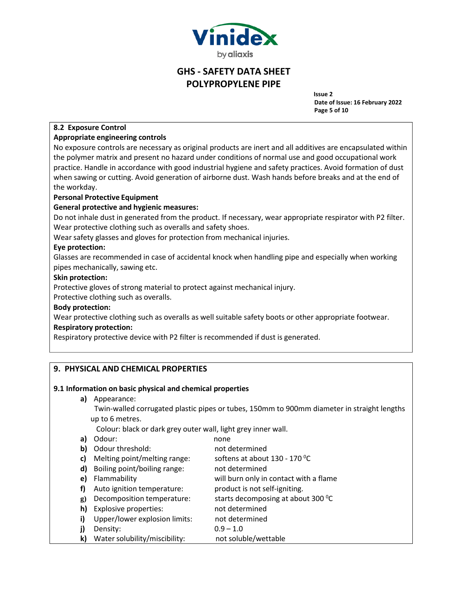

**Issue 2 Date of Issue: 16 February 2022 Page 5 of 10**

# **8.2 Exposure Control**

# **Appropriate engineering controls**

No exposure controls are necessary as original products are inert and all additives are encapsulated within the polymer matrix and present no hazard under conditions of normal use and good occupational work practice. Handle in accordance with good industrial hygiene and safety practices. Avoid formation of dust when sawing or cutting. Avoid generation of airborne dust. Wash hands before breaks and at the end of the workday.

# **Personal Protective Equipment**

# **General protective and hygienic measures:**

Do not inhale dust in generated from the product. If necessary, wear appropriate respirator with P2 filter. Wear protective clothing such as overalls and safety shoes.

Wear safety glasses and gloves for protection from mechanical injuries.

# **Eye protection:**

Glasses are recommended in case of accidental knock when handling pipe and especially when working pipes mechanically, sawing etc.

# **Skin protection:**

Protective gloves of strong material to protect against mechanical injury.

Protective clothing such as overalls.

# **Body protection:**

Wear protective clothing such as overalls as well suitable safety boots or other appropriate footwear. **Respiratory protection:**

Respiratory protective device with P2 filter is recommended if dust is generated.

# **9. PHYSICAL AND CHEMICAL PROPERTIES**

# **9.1 Information on basic physical and chemical properties**

**a)** Appearance:

Twin-walled corrugated plastic pipes or tubes, 150mm to 900mm diameter in straight lengths up to 6 metres.

Colour: black or dark grey outer wall, light grey inner wall.

| a)           | Odour:                        | none                                   |
|--------------|-------------------------------|----------------------------------------|
| b)           | Odour threshold:              | not determined                         |
| C)           | Melting point/melting range:  | softens at about 130 - 170 °C          |
| d)           | Boiling point/boiling range:  | not determined                         |
| e)           | Flammability                  | will burn only in contact with a flame |
| f)           | Auto ignition temperature:    | product is not self-igniting.          |
| $\mathbf{g}$ | Decomposition temperature:    | starts decomposing at about 300 °C     |
| h)           | <b>Explosive properties:</b>  | not determined                         |
| i)           | Upper/lower explosion limits: | not determined                         |
| j)           | Density:                      | $0.9 - 1.0$                            |
| k)           | Water solubility/miscibility: | not soluble/wettable                   |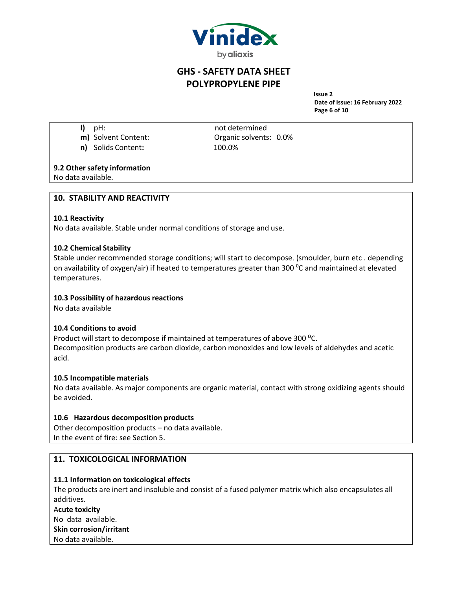

**Issue 2 Date of Issue: 16 February 2022 Page 6 of 10**

- **l)** pH:
- **m)** Solvent Content:

**n)** Solids Content**:**

not determined Organic solvents: 0.0% 100.0%

# **9.2 Other safety information**

No data available.

# **10. STABILITY AND REACTIVITY**

# **10.1 Reactivity**

No data available. Stable under normal conditions of storage and use.

# **10.2 Chemical Stability**

Stable under recommended storage conditions; will start to decompose. (smoulder, burn etc . depending on availability of oxygen/air) if heated to temperatures greater than 300  $^{\circ}$ C and maintained at elevated temperatures.

# **10.3 Possibility of hazardous reactions**

No data available

# **10.4 Conditions to avoid**

Product will start to decompose if maintained at temperatures of above 300 °C. Decomposition products are carbon dioxide, carbon monoxides and low levels of aldehydes and acetic acid.

# **10.5 Incompatible materials**

No data available. As major components are organic material, contact with strong oxidizing agents should be avoided.

# **10.6 Hazardous decomposition products**

Other decomposition products – no data available. In the event of fire: see Section 5.

# **11. TOXICOLOGICAL INFORMATION**

# **11.1 Information on toxicological effects**

The products are inert and insoluble and consist of a fused polymer matrix which also encapsulates all additives.

A**cute toxicity**

No data available.

**Skin corrosion/irritant**

No data available.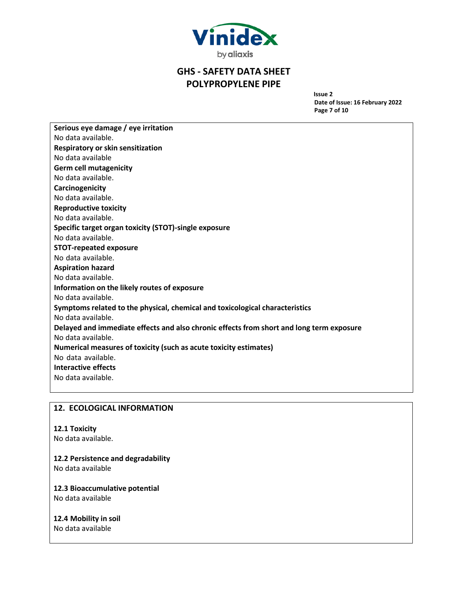

**Issue 2 Date of Issue: 16 February 2022 Page 7 of 10**

**Serious eye damage / eye irritation** No data available. **Respiratory orskin sensitization** No data available **Germ cell mutagenicity** No data available. **Carcinogenicity** No data available. **Reproductive toxicity** No data available. **Specific target organ toxicity (STOT)-single exposure** No data available. **STOT-repeated exposure** No data available. **Aspiration hazard** No data available. **Information on the likely routes of exposure** No data available. **Symptoms related to the physical, chemical and toxicological characteristics** No data available. **Delayed and immediate effects and also chronic effects from short and long term exposure** No data available. **Numerical measures of toxicity (such as acute toxicity estimates)** No data available. **Interactive effects** No data available.

# **12. ECOLOGICAL INFORMATION**

#### **12.1 Toxicity**

No data available.

**12.2 Persistence and degradability**

No data available

**12.3 Bioaccumulative potential** No data available

**12.4 Mobility in soil**

No data available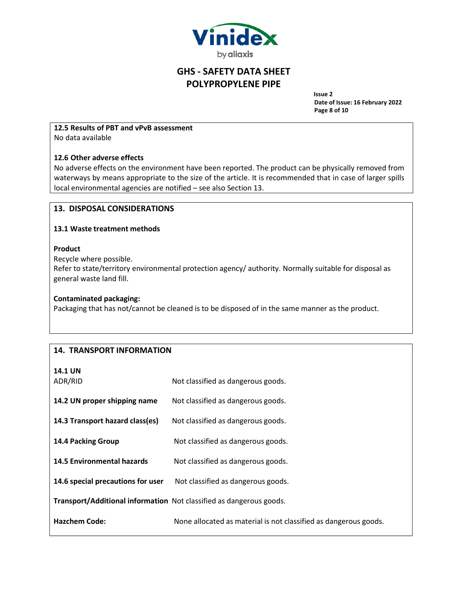

**Issue 2 Date of Issue: 16 February 2022 Page 8 of 10**

# **12.5 Results of PBT and vPvB assessment**

No data available

# **12.6 Other adverse effects**

No adverse effects on the environment have been reported. The product can be physically removed from waterways by means appropriate to the size of the article. It is recommended that in case of larger spills local environmental agencies are notified – see also Section 13.

# **13. DISPOSAL CONSIDERATIONS**

# **13.1 Waste treatment methods**

# **Product**

Recycle where possible.

Refer to state/territory environmental protection agency/ authority. Normally suitable for disposal as general waste land fill.

# **Contaminated packaging:**

Packaging that has not/cannot be cleaned is to be disposed of in the same manner as the product.

# **14. TRANSPORT INFORMATION**

| <b>14.1 UN</b><br>ADR/RID                                           | Not classified as dangerous goods.                               |  |
|---------------------------------------------------------------------|------------------------------------------------------------------|--|
| 14.2 UN proper shipping name                                        | Not classified as dangerous goods.                               |  |
| 14.3 Transport hazard class(es)                                     | Not classified as dangerous goods.                               |  |
| 14.4 Packing Group                                                  | Not classified as dangerous goods.                               |  |
| <b>14.5 Environmental hazards</b>                                   | Not classified as dangerous goods.                               |  |
| 14.6 special precautions for user                                   | Not classified as dangerous goods.                               |  |
| Transport/Additional information Not classified as dangerous goods. |                                                                  |  |
| <b>Hazchem Code:</b>                                                | None allocated as material is not classified as dangerous goods. |  |